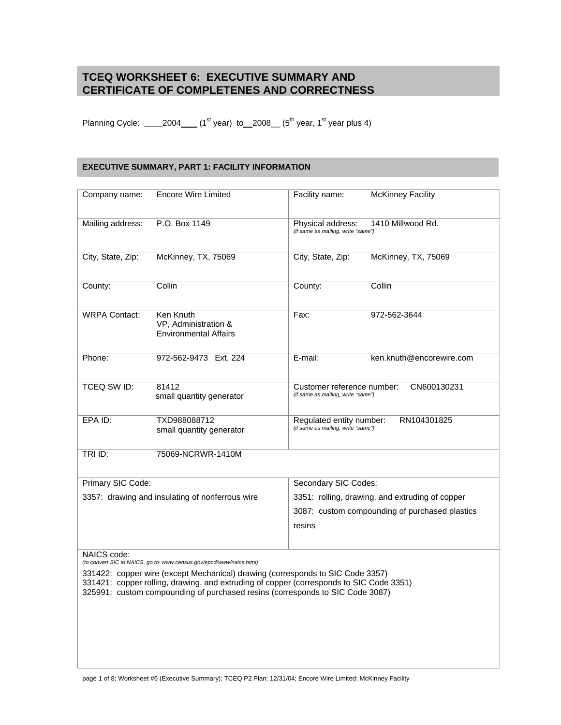# **TCEQ WORKSHEET 6: EXECUTIVE SUMMARY AND CERTIFICATE OF COMPLETENES AND CORRECTNESS**

Planning Cycle: \_\_\_\_\_2004\_\_\_\_ (1<sup>st</sup> year) to \_\_2008\_\_\_ (5<sup>th</sup> year, 1<sup>st</sup> year plus 4)

## **EXECUTIVE SUMMARY, PART 1: FACILITY INFORMATION**

| Company name:                                                                                                                                                                                                                                              | <b>Encore Wire Limited</b>                                        | Facility name:                                                                  | <b>McKinney Facility</b> |  |  |
|------------------------------------------------------------------------------------------------------------------------------------------------------------------------------------------------------------------------------------------------------------|-------------------------------------------------------------------|---------------------------------------------------------------------------------|--------------------------|--|--|
| Mailing address:                                                                                                                                                                                                                                           | P.O. Box 1149                                                     | 1410 Millwood Rd.<br>Physical address:<br>(if same as mailing, write "same")    |                          |  |  |
| City, State, Zip:                                                                                                                                                                                                                                          | McKinney, TX, 75069                                               | City, State, Zip:                                                               | McKinney, TX, 75069      |  |  |
| County:                                                                                                                                                                                                                                                    | Collin                                                            | County:                                                                         | Collin                   |  |  |
| <b>WRPA Contact:</b>                                                                                                                                                                                                                                       | Ken Knuth<br>VP, Administration &<br><b>Environmental Affairs</b> | Fax:                                                                            | 972-562-3644             |  |  |
| Phone:                                                                                                                                                                                                                                                     | 972-562-9473 Ext. 224                                             | E-mail:                                                                         | ken.knuth@encorewire.com |  |  |
| TCEQ SW ID:                                                                                                                                                                                                                                                | 81412<br>small quantity generator                                 | CN600130231<br>Customer reference number:<br>(if same as mailing, write "same") |                          |  |  |
| EPA ID:                                                                                                                                                                                                                                                    | TXD988088712<br>small quantity generator                          | RN104301825<br>Regulated entity number:<br>(if same as mailing, write "same")   |                          |  |  |
| TRI ID:                                                                                                                                                                                                                                                    | 75069-NCRWR-1410M                                                 |                                                                                 |                          |  |  |
| Primary SIC Code:                                                                                                                                                                                                                                          |                                                                   | Secondary SIC Codes:                                                            |                          |  |  |
| 3357: drawing and insulating of nonferrous wire                                                                                                                                                                                                            |                                                                   | 3351: rolling, drawing, and extruding of copper                                 |                          |  |  |
|                                                                                                                                                                                                                                                            |                                                                   | 3087: custom compounding of purchased plastics                                  |                          |  |  |
|                                                                                                                                                                                                                                                            |                                                                   | resins                                                                          |                          |  |  |
| NAICS code:<br>(to convert SIC to NAICS, go to: www.census.gov/epcd/www/naics.html)                                                                                                                                                                        |                                                                   |                                                                                 |                          |  |  |
| 331422: copper wire (except Mechanical) drawing (corresponds to SIC Code 3357)<br>331421: copper rolling, drawing, and extruding of copper (corresponds to SIC Code 3351)<br>325991: custom compounding of purchased resins (corresponds to SIC Code 3087) |                                                                   |                                                                                 |                          |  |  |
|                                                                                                                                                                                                                                                            |                                                                   |                                                                                 |                          |  |  |
|                                                                                                                                                                                                                                                            |                                                                   |                                                                                 |                          |  |  |

page 1 of 8; Worksheet #6 (Executive Summary); TCEQ P2 Plan; 12/31/04; Encore Wire Limited; McKinney Facility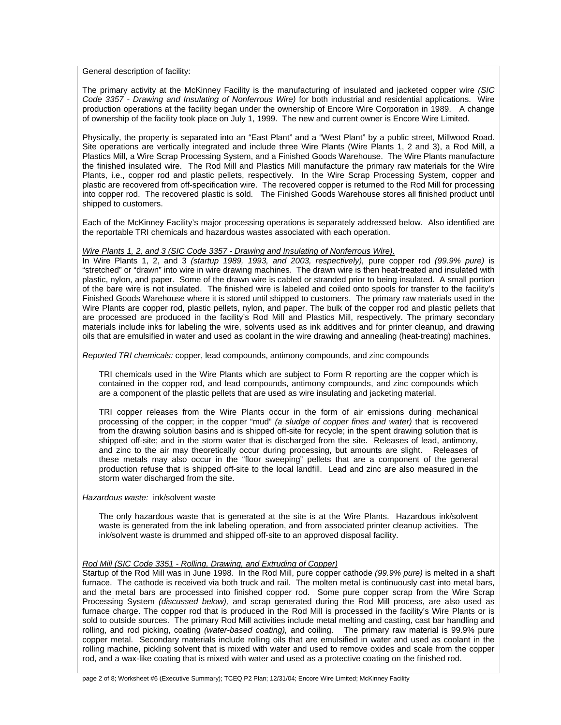General description of facility:

The primary activity at the McKinney Facility is the manufacturing of insulated and jacketed copper wire *(SIC Code 3357 - Drawing and Insulating of Nonferrous Wire)* for both industrial and residential applications. Wire production operations at the facility began under the ownership of Encore Wire Corporation in 1989. A change of ownership of the facility took place on July 1, 1999. The new and current owner is Encore Wire Limited.

Physically, the property is separated into an "East Plant" and a "West Plant" by a public street, Millwood Road. Site operations are vertically integrated and include three Wire Plants (Wire Plants 1, 2 and 3), a Rod Mill, a Plastics Mill, a Wire Scrap Processing System, and a Finished Goods Warehouse. The Wire Plants manufacture the finished insulated wire. The Rod Mill and Plastics Mill manufacture the primary raw materials for the Wire Plants, i.e., copper rod and plastic pellets, respectively. In the Wire Scrap Processing System, copper and plastic are recovered from off-specification wire. The recovered copper is returned to the Rod Mill for processing into copper rod. The recovered plastic is sold. The Finished Goods Warehouse stores all finished product until shipped to customers.

Each of the McKinney Facility's major processing operations is separately addressed below. Also identified are the reportable TRI chemicals and hazardous wastes associated with each operation.

#### *Wire Plants 1, 2, and 3 (SIC Code 3357 - Drawing and Insulating of Nonferrous Wire)*.

In Wire Plants 1, 2, and 3 *(startup 1989, 1993, and 2003, respectively),* pure copper rod *(99.9% pure)* is "stretched" or "drawn" into wire in wire drawing machines. The drawn wire is then heat-treated and insulated with plastic, nylon, and paper. Some of the drawn wire is cabled or stranded prior to being insulated. A small portion of the bare wire is not insulated. The finished wire is labeled and coiled onto spools for transfer to the facility's Finished Goods Warehouse where it is stored until shipped to customers. The primary raw materials used in the Wire Plants are copper rod, plastic pellets, nylon, and paper. The bulk of the copper rod and plastic pellets that are processed are produced in the facility's Rod Mill and Plastics Mill, respectively. The primary secondary materials include inks f*o*r labeling the wire, solvents used as ink additives and for printer cleanup, and drawing oils that are emulsified in water and used as coolant in the wire drawing and annealing (heat-treating) machines.

*Reported TRI chemicals:* copper, lead compounds, antimony compounds, and zinc compounds

TRI chemicals used in the Wire Plants which are subject to Form R reporting are the copper which is contained in the copper rod, and lead compounds, antimony compounds, and zinc compounds which are a component of the plastic pellets that are used as wire insulating and jacketing material.

TRI copper releases from the Wire Plants occur in the form of air emissions during mechanical processing of the copper; in the copper "mud" *(a sludge of copper fines and water)* that is recovered from the drawing solution basins and is shipped off-site for recycle; in the spent drawing solution that is shipped off-site; and in the storm water that is discharged from the site. Releases of lead, antimony, and zinc to the air may theoretically occur during processing, but amounts are slight. Releases of these metals may also occur in the "floor sweeping" pellets that are a component of the general production refuse that is shipped off-site to the local landfill. Lead and zinc are also measured in the storm water discharged from the site.

#### *Hazardous waste:* ink/solvent waste

The only hazardous waste that is generated at the site is at the Wire Plants. Hazardous ink/solvent waste is generated from the ink labeling operation, and from associated printer cleanup activities. The ink/solvent waste is drummed and shipped off-site to an approved disposal facility.

### *Rod Mill (SIC Code 3351 - Rolling, Drawing, and Extruding of Copper)*

Startup of the Rod Mill was in June 1998. In the Rod Mill, pure copper cathode *(99.9% pure)* is melted in a shaft furnace. The cathode is received via both truck and rail. The molten metal is continuously cast into metal bars, and the metal bars are processed into finished copper rod. Some pure copper scrap from the Wire Scrap Processing System *(discussed below),* and scrap generated during the Rod Mill process, are also used as furnace charge. The copper rod that is produced in the Rod Mill is processed in the facility's Wire Plants or is sold to outside sources. The primary Rod Mill activities include metal melting and casting, cast bar handling and rolling, and rod picking, coating *(water-based coating),* and coiling. The primary raw material is 99.9% pure copper metal. Secondary materials include rolling oils that are emulsified in water and used as coolant in the rolling machine, pickling solvent that is mixed with water and used to remove oxides and scale from the copper rod, and a wax-like coating that is mixed with water and used as a protective coating on the finished rod.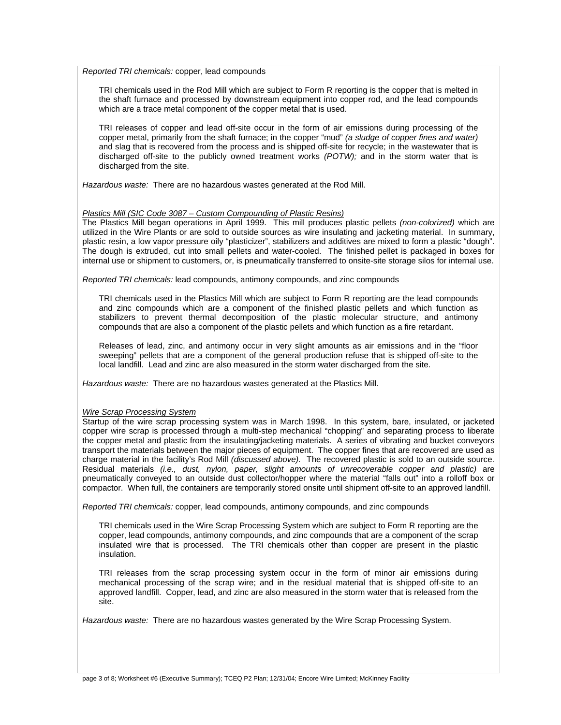*Reported TRI chemicals:* copper, lead compounds

TRI chemicals used in the Rod Mill which are subject to Form R reporting is the copper that is melted in the shaft furnace and processed by downstream equipment into copper rod, and the lead compounds which are a trace metal component of the copper metal that is used.

TRI releases of copper and lead off-site occur in the form of air emissions during processing of the copper metal, primarily from the shaft furnace; in the copper "mud" *(a sludge of copper fines and water)* and slag that is recovered from the process and is shipped off-site for recycle; in the wastewater that is discharged off-site to the publicly owned treatment works *(POTW);* and in the storm water that is discharged from the site.

*Hazardous waste:* There are no hazardous wastes generated at the Rod Mill.

#### *Plastics Mill (SIC Code 3087 – Custom Compounding of Plastic Resins)*

The Plastics Mill began operations in April 1999. This mill produces plastic pellets *(non-colorized)* which are utilized in the Wire Plants or are sold to outside sources as wire insulating and jacketing material. In summary, plastic resin, a low vapor pressure oily "plasticizer", stabilizers and additives are mixed to form a plastic "dough". The dough is extruded, cut into small pellets and water-cooled. The finished pellet is packaged in boxes for internal use or shipment to customers, or, is pneumatically transferred to onsite-site storage silos for internal use.

*Reported TRI chemicals:* lead compounds, antimony compounds, and zinc compounds

TRI chemicals used in the Plastics Mill which are subject to Form R reporting are the lead compounds and zinc compounds which are a component of the finished plastic pellets and which function as stabilizers to prevent thermal decomposition of the plastic molecular structure, and antimony compounds that are also a component of the plastic pellets and which function as a fire retardant.

Releases of lead, zinc, and antimony occur in very slight amounts as air emissions and in the "floor sweeping" pellets that are a component of the general production refuse that is shipped off-site to the local landfill. Lead and zinc are also measured in the storm water discharged from the site.

*Hazardous waste:* There are no hazardous wastes generated at the Plastics Mill.

#### *Wire Scrap Processing System*

Startup of the wire scrap processing system was in March 1998. In this system, bare, insulated, or jacketed copper wire scrap is processed through a multi-step mechanical "chopping" and separating process to liberate the copper metal and plastic from the insulating/jacketing materials. A series of vibrating and bucket conveyors transport the materials between the major pieces of equipment. The copper fines that are recovered are used as charge material in the facility's Rod Mill *(discussed above).* The recovered plastic is sold to an outside source. Residual materials *(i.e., dust, nylon, paper, slight amounts of unrecoverable copper and plastic)* are pneumatically conveyed to an outside dust collector/hopper where the material "falls out" into a rolloff box or compactor. When full, the containers are temporarily stored onsite until shipment off-site to an approved landfill.

*Reported TRI chemicals:* copper, lead compounds, antimony compounds, and zinc compounds

TRI chemicals used in the Wire Scrap Processing System which are subject to Form R reporting are the copper, lead compounds, antimony compounds, and zinc compounds that are a component of the scrap insulated wire that is processed. The TRI chemicals other than copper are present in the plastic insulation.

TRI releases from the scrap processing system occur in the form of minor air emissions during mechanical processing of the scrap wire; and in the residual material that is shipped off-site to an approved landfill. Copper, lead, and zinc are also measured in the storm water that is released from the site.

*Hazardous waste:* There are no hazardous wastes generated by the Wire Scrap Processing System.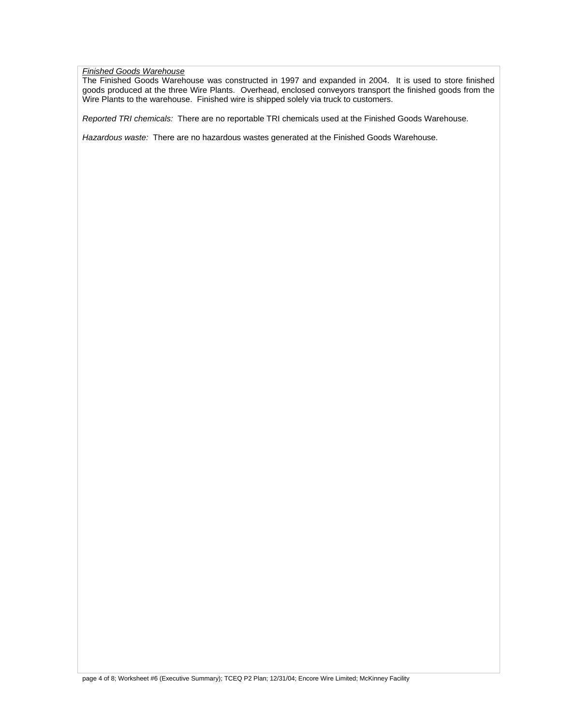### *Finished Goods Warehouse*

The Finished Goods Warehouse was constructed in 1997 and expanded in 2004. It is used to store finished goods produced at the three Wire Plants. Overhead, enclosed conveyors transport the finished goods from the Wire Plants to the warehouse. Finished wire is shipped solely via truck to customers.

*Reported TRI chemicals:* There are no reportable TRI chemicals used at the Finished Goods Warehouse.

*Hazardous waste:* There are no hazardous wastes generated at the Finished Goods Warehouse.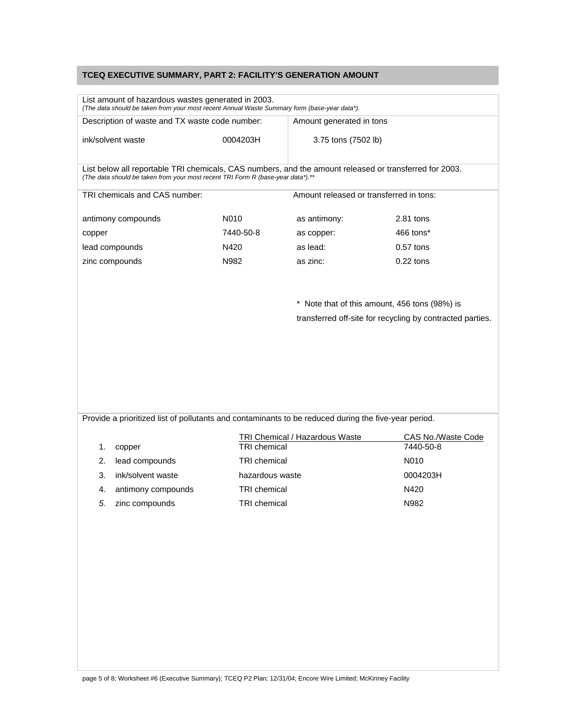## **TCEQ EXECUTIVE SUMMARY, PART 2: FACILITY'S GENERATION AMOUNT**

| Description of waste and TX waste code number:                                                                                                                                            |                     | Amount generated in tons                |                                                           |  |
|-------------------------------------------------------------------------------------------------------------------------------------------------------------------------------------------|---------------------|-----------------------------------------|-----------------------------------------------------------|--|
| ink/solvent waste                                                                                                                                                                         | 0004203H            | 3.75 tons (7502 lb)                     |                                                           |  |
| List below all reportable TRI chemicals, CAS numbers, and the amount released or transferred for 2003.<br>(The data should be taken from your most recent TRI Form R (base-year data*).** |                     |                                         |                                                           |  |
| TRI chemicals and CAS number:                                                                                                                                                             |                     | Amount released or transferred in tons: |                                                           |  |
| antimony compounds                                                                                                                                                                        | N010                | as antimony:                            | $2.81$ tons                                               |  |
| copper                                                                                                                                                                                    | 7440-50-8           | as copper:                              | 466 tons*                                                 |  |
| lead compounds                                                                                                                                                                            | N420                | as lead:                                | $0.57$ tons                                               |  |
| zinc compounds                                                                                                                                                                            | N982                | as zinc:                                | $0.22$ tons                                               |  |
|                                                                                                                                                                                           |                     |                                         | * Note that of this amount, 456 tons (98%) is             |  |
|                                                                                                                                                                                           |                     |                                         | transferred off-site for recycling by contracted parties. |  |
|                                                                                                                                                                                           |                     |                                         |                                                           |  |
|                                                                                                                                                                                           |                     |                                         |                                                           |  |
|                                                                                                                                                                                           |                     |                                         |                                                           |  |
| 1.<br>copper                                                                                                                                                                              | <b>TRI</b> chemical | <b>TRI Chemical / Hazardous Waste</b>   | 7440-50-8                                                 |  |
| lead compounds<br>2.                                                                                                                                                                      | <b>TRI</b> chemical |                                         | N010                                                      |  |
| 3.<br>ink/solvent waste                                                                                                                                                                   | hazardous waste     |                                         | 0004203H                                                  |  |
| antimony compounds<br>4.                                                                                                                                                                  | TRI chemical        |                                         | N420                                                      |  |
| 5.<br>zinc compounds                                                                                                                                                                      | <b>TRI</b> chemical |                                         | N982                                                      |  |
| Provide a prioritized list of pollutants and contaminants to be reduced during the five-year period.                                                                                      |                     |                                         |                                                           |  |
|                                                                                                                                                                                           |                     |                                         | CAS No./Waste Code                                        |  |
|                                                                                                                                                                                           |                     |                                         |                                                           |  |
|                                                                                                                                                                                           |                     |                                         |                                                           |  |
|                                                                                                                                                                                           |                     |                                         |                                                           |  |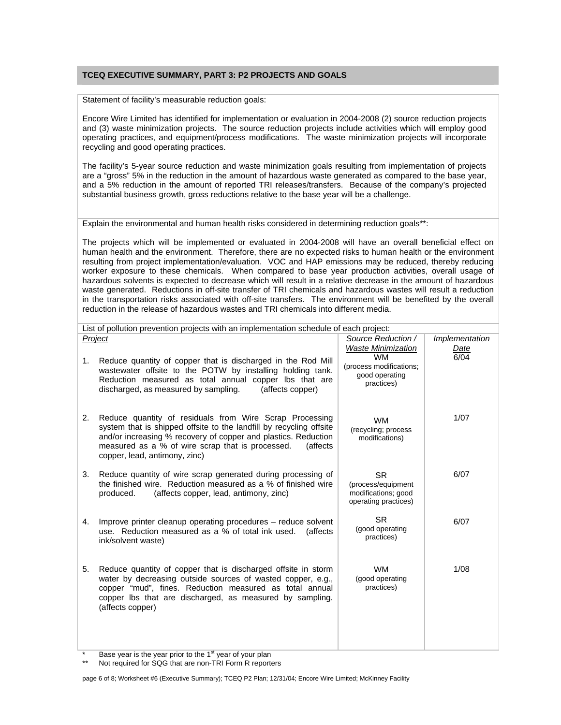### **TCEQ EXECUTIVE SUMMARY, PART 3: P2 PROJECTS AND GOALS**

Statement of facility's measurable reduction goals:

Encore Wire Limited has identified for implementation or evaluation in 2004-2008 (2) source reduction projects and (3) waste minimization projects. The source reduction projects include activities which will employ good operating practices, and equipment/process modifications. The waste minimization projects will incorporate recycling and good operating practices.

The facility's 5-year source reduction and waste minimization goals resulting from implementation of projects are a "gross" 5% in the reduction in the amount of hazardous waste generated as compared to the base year, and a 5% reduction in the amount of reported TRI releases/transfers. Because of the company's projected substantial business growth, gross reductions relative to the base year will be a challenge.

Explain the environmental and human health risks considered in determining reduction goals\*\*:

The projects which will be implemented or evaluated in 2004-2008 will have an overall beneficial effect on human health and the environment. Therefore, there are no expected risks to human health or the environment resulting from project implementation/evaluation. VOC and HAP emissions may be reduced, thereby reducing worker exposure to these chemicals. When compared to base year production activities, overall usage of hazardous solvents is expected to decrease which will result in a relative decrease in the amount of hazardous waste generated. Reductions in off-site transfer of TRI chemicals and hazardous wastes will result a reduction in the transportation risks associated with off-site transfers. The environment will be benefited by the overall reduction in the release of hazardous wastes and TRI chemicals into different media.

| List of pollution prevention projects with an implementation schedule of each project: |                                                                                                                                                                                                                                                                                                           |                                                                                |                        |  |
|----------------------------------------------------------------------------------------|-----------------------------------------------------------------------------------------------------------------------------------------------------------------------------------------------------------------------------------------------------------------------------------------------------------|--------------------------------------------------------------------------------|------------------------|--|
|                                                                                        | Project                                                                                                                                                                                                                                                                                                   | Source Reduction /<br><b>Waste Minimization</b>                                | Implementation<br>Date |  |
| 1.                                                                                     | Reduce quantity of copper that is discharged in the Rod Mill<br>wastewater offsite to the POTW by installing holding tank.<br>Reduction measured as total annual copper lbs that are<br>discharged, as measured by sampling.<br>(affects copper)                                                          | <b>WM</b><br>(process modifications;<br>good operating<br>practices)           | 6/04                   |  |
| 2.                                                                                     | Reduce quantity of residuals from Wire Scrap Processing<br>system that is shipped offsite to the landfill by recycling offsite<br>and/or increasing % recovery of copper and plastics. Reduction<br>measured as a % of wire scrap that is processed.<br><i>(affects)</i><br>copper, lead, antimony, zinc) | <b>WM</b><br>(recycling; process<br>modifications)                             | 1/07                   |  |
| 3.                                                                                     | Reduce quantity of wire scrap generated during processing of<br>the finished wire. Reduction measured as a % of finished wire<br>produced.<br>(affects copper, lead, antimony, zinc)                                                                                                                      | <b>SR</b><br>(process/equipment<br>modifications; good<br>operating practices) | 6/07                   |  |
| 4.                                                                                     | Improve printer cleanup operating procedures – reduce solvent<br>use. Reduction measured as a % of total ink used.<br><i>(affects)</i><br>ink/solvent waste)                                                                                                                                              | <b>SR</b><br>(good operating<br>practices)                                     | 6/07                   |  |
| 5.                                                                                     | Reduce quantity of copper that is discharged offsite in storm<br>water by decreasing outside sources of wasted copper, e.g.,<br>copper "mud", fines. Reduction measured as total annual<br>copper lbs that are discharged, as measured by sampling.<br>(affects copper)                                   | <b>WM</b><br>(good operating<br>practices)                                     | 1/08                   |  |
|                                                                                        | Base year is the year prior to the 1 <sup>st</sup> year of your plan                                                                                                                                                                                                                                      |                                                                                |                        |  |

vear is the year prior to the 1st year of your plan

Not required for SQG that are non-TRI Form R reporters

page 6 of 8; Worksheet #6 (Executive Summary); TCEQ P2 Plan; 12/31/04; Encore Wire Limited; McKinney Facility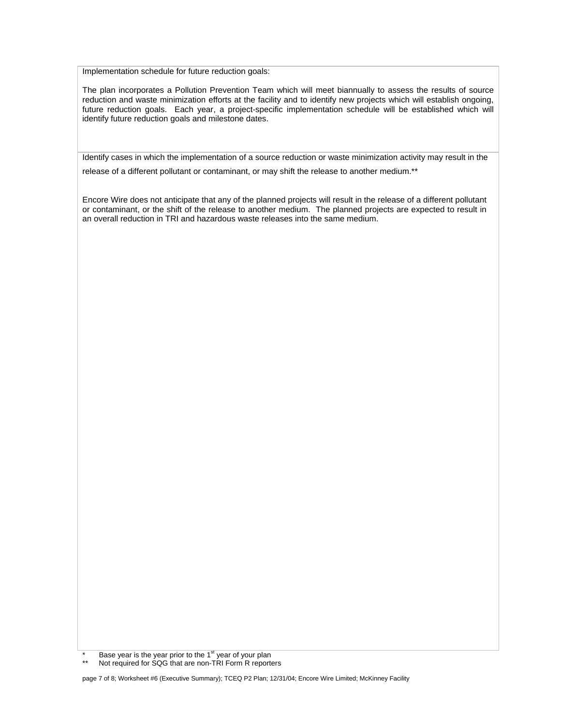Implementation schedule for future reduction goals:

The plan incorporates a Pollution Prevention Team which will meet biannually to assess the results of source reduction and waste minimization efforts at the facility and to identify new projects which will establish ongoing, future reduction goals. Each year, a project-specific implementation schedule will be established which will identify future reduction goals and milestone dates.

Identify cases in which the implementation of a source reduction or waste minimization activity may result in the

release of a different pollutant or contaminant, or may shift the release to another medium.\*\*

Encore Wire does not anticipate that any of the planned projects will result in the release of a different pollutant or contaminant, or the shift of the release to another medium. The planned projects are expected to result in an overall reduction in TRI and hazardous waste releases into the same medium.

Not required for SQG that are non-TRI Form R reporters

page 7 of 8; Worksheet #6 (Executive Summary); TCEQ P2 Plan; 12/31/04; Encore Wire Limited; McKinney Facility